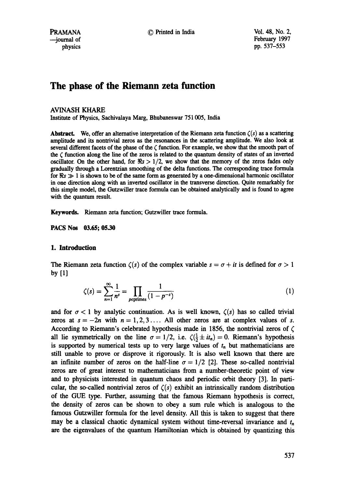# **The phase of the Riemann zeta function**

## AVINASH KHARE

Institute of Physics, Sachivalaya Marg, Bhubaneswar 751005, India

**Abstract.** We, offer an alternative interpretation of the Riemann zeta function  $\zeta(s)$  as a scattering amplitude and its nontrivial zeros as the resonances in the scattering amplitude. We also look at several different facets of the phase of the  $\zeta$  function. For example, we show that the smooth part of the  $\zeta$  function along the line of the zeros is related to the quantum density of states of an inverted oscillator. On the other hand, for  $\Re s > 1/2$ , we show that the memory of the zeros fades only gradually through a Lorentzian smoothing of the delta functions. The corresponding trace formula for  $\Re s \gg 1$  is shown to be of the same form as generated by a one-dimensional harmonic oscillator in one direction along with an inverted oscillator in the transverse direction. Quite remarkably for this simple model, the Gutzwiller trace formula can be obtained analytically and is found to agree with the quantum result.

Keywords. Riemann zeta function; Gutzwiller trace formula.

**PACS Nos 03.65; 05.30** 

## **1. Introduction**

The Riemann zeta function  $\zeta(s)$  of the complex variable  $s = \sigma + it$  is defined for  $\sigma > 1$ by [1]

$$
\zeta(s) = \sum_{n=1}^{\infty} \frac{1}{n^s} = \prod_{\text{peprimes}} \frac{1}{(1 - p^{-s})} \tag{1}
$$

and for  $\sigma < 1$  by analytic continuation. As is well known,  $\zeta(s)$  has so called trivial zeros at  $s = -2n$  with  $n = 1, 2, 3, \ldots$  All other zeros are at complex values of s. According to Riemann's celebrated hypothesis made in 1856, the nontrivial zeros of  $\zeta$ all lie symmetrically on the line  $\sigma = 1/2$ , i.e.  $\zeta(\frac{1}{2} \pm it_n) = 0$ . Riemann's hypothesis is supported by numerical tests up to very large values of  $t_n$  but mathematicians are still unable to prove or disprove it rigorously. It is also well known that there are an infinite number of zeros on the half-line  $\sigma = 1/2$  [2]. These so-called nontrivial zeros are of great interest to mathematicians from a number-theoretic point of view and to physicists interested in quantum chaos and periodic orbit theory [3]. In particular, the so-called nontrivial zeros of  $\zeta(s)$  exhibit an intrinsically random distribution of the GUE type. Further, assuming that the famous Riemann hypothesis is correct, the density of zeros can be shown to obey a sum rule which is analogous to the famous Gutzwiller formula for the level density. All this is taken to suggest that there may be a classical chaotic dynamical system without time-reversal invariance and  $t<sub>n</sub>$ are the eigenvalues of the quantum Hamiltonian which is obtained by quantizing this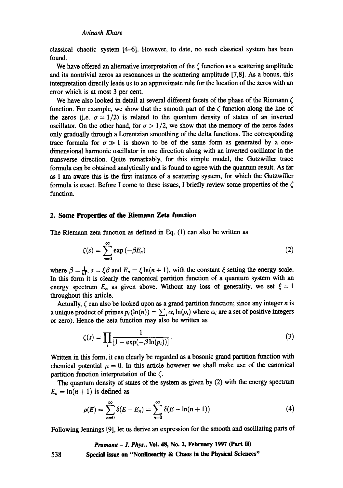classical chaotic system [4-6]. However, to date, no such classical system has been found.

We have offered an alternative interpretation of the  $\zeta$  function as a scattering amplitude and its nontrivial zeros as resonances in the scattering amplitude  $[7,8]$ . As a bonus, this interpretation directly leads us to an approximate rule for the location of the zeros with an error which is at most 3 per cent.

We have also looked in detail at several different facets of the phase of the Riemann  $\zeta$ function. For example, we show that the smooth part of the  $\zeta$  function along the line of the zeros (i.e.  $\sigma = 1/2$ ) is related to the quantum density of states of an inverted oscillator. On the other hand, for  $\sigma > 1/2$ , we show that the memory of the zeros fades only gradually through a Lorentzian smoothing of the delta functions. The corresponding trace formula for  $\sigma \gg 1$  is shown to be of the same form as generated by a onedimensional harmonic oscillator in one direction along with an inverted oscillator in the transverse direction. Quite remarkably, for this simple model, the Gutzwiller trace formula can be obtained analytically and is found to agree with the quantum result. As far as I am aware this is the first instance of a scattering system, for which the Gutzwiller formula is exact. Before I come to these issues, I briefly review some properties of the  $\zeta$ function.

#### **2. Some Properties of the Riemann Zeta function**

The Riemann zeta function as defined in Eq. (1) can also be written as

$$
\zeta(s) = \sum_{n=0}^{\infty} \exp(-\beta E_n) \tag{2}
$$

where  $\beta = \frac{1}{kT}$ ,  $s = \xi\beta$  and  $E_n = \xi \ln(n + 1)$ , with the constant  $\xi$  setting the energy scale. In this form it is clearly the canonical partition function of a quantum system with an energy spectrum  $E_n$  as given above. Without any loss of generality, we set  $\xi = 1$ throughout this article.

Actually,  $\zeta$  can also be looked upon as a grand partition function; since any integer *n* is a unique product of primes  $p_i(\ln(n)) = \sum_i \alpha_i \ln(p_i)$  where  $\alpha_i$  are a set of positive integers or zero). Hence the zeta function may also be written as

$$
\zeta(s) = \prod_{i} \frac{1}{\left[1 - \exp(-\beta \ln(p_i))\right]}.
$$
\n(3)

Written in this form, it can clearly be regarded as a bosonic grand partition function with chemical potential  $\mu = 0$ . In this article however we shall make use of the canonical partition function interpretation of the  $\zeta$ .

The quantum density of states of the system as given by (2) with the energy spectrum  $E_n = \ln(n + 1)$  is defined as

$$
\rho(E) = \sum_{n=0}^{\infty} \delta(E - E_n) = \sum_{n=0}^{\infty} \delta(E - \ln(n+1))
$$
 (4)

Following Jennings [9], let us derive an expression for the smooth and oscillating parts of

*Pramana - J. Phys.,* **Vol. 48, No. 2, February 1997 (Part ID Special issue on "Nonlinearity & Chaos in the Physical Sciences"**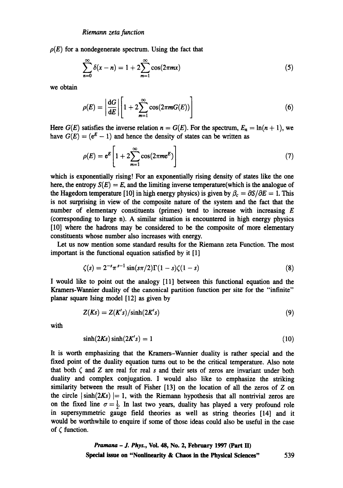$\rho(E)$  for a nondegenerate spectrum. Using the fact that

$$
\sum_{n=0}^{\infty} \delta(x - n) = 1 + 2 \sum_{m=1}^{\infty} \cos(2\pi m x)
$$
 (5)

we obtain

$$
\rho(E) = \left| \frac{\mathrm{d}G}{\mathrm{d}E} \right| \left[ 1 + 2 \sum_{m=1}^{\infty} \cos(2\pi m G(E)) \right] \tag{6}
$$

Here  $G(E)$  satisfies the inverse relation  $n = G(E)$ . For the spectrum,  $E_n = \ln(n + 1)$ , we have  $G(E) = (e^E - 1)$  and hence the density of states can be written as

$$
\rho(E) = e^E \left[ 1 + 2 \sum_{m=1}^{\infty} \cos(2\pi m e^E) \right]
$$
\n(7)

which is exponentially rising! For an exponentially rising density of states like the one here, the entropy  $S(E) = E$ , and the limiting inverse temperature(which is the analogue of the Hagedorn temperature [10] in high energy physics) is given by  $\beta_c = \partial S/\partial E = 1$ . This is not surprising in view of the composite nature of the system and the fact that the number of elementary constituents (primes) tend to increase with increasing  $E$ (corresponding to large n). A similar situation is encountered in high energy physics [10] where the hadrons may be considered to be the composite of more elementary constituents whose number also increases with energy.

Let us now mention some standard results for the Riemann zeta Function. The most important is the functional equation satisfied by it [1]

$$
\zeta(s) = 2^{-s} \pi^{s-1} \sin(s\pi/2) \Gamma(1-s) \zeta(1-s) \tag{8}
$$

I would like to point out the analogy [11] between this functional equation and the Kramers-Wannier duality of the canonical partition function per site for the "infinite" planar square Ising model [12] as given by

$$
Z(Ks) = Z(K's)/\sinh(2K's)
$$
\n(9)

with

$$
\sinh(2Ks)\sinh(2K's) = 1\tag{10}
$$

It is worth emphasizing that the Kramers--Wannier duality is rather special and the fixed point of the duality equation turns out to be the critical temperature. Also note that both  $\zeta$  and  $\zeta$  are real for real s and their sets of zeros are invariant under both duality and complex conjugation. I would also like to emphasize the striking similarity between the result of Fisher  $[13]$  on the location of all the zeros of Z on the circle  $|\sinh(2Ks)|= 1$ , with the Riemann hypothesis that all nontrivial zeros are on the fixed line  $\sigma = \frac{1}{2}$ . In last two years, duality has played a very profound role in supersymmetric gauge field theories as well as string theories [14] and it would be worthwhile to enquire if some of those ideas could also be useful in the case of  $\zeta$  function.

*Pramana - J. Phys.,* Vol. 48, No. 2, February 1997 (Part lID Special issue on "Nonlinearity **& Chaos in the Physical Sciences"** 539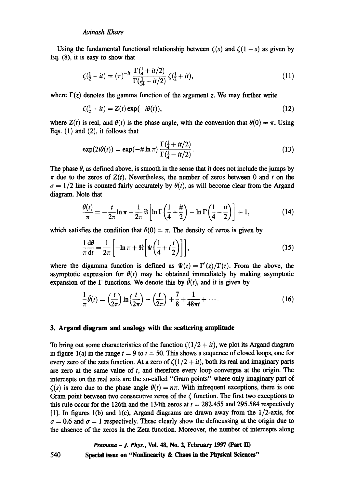Using the fundamental functional relationship between  $\zeta(s)$  and  $\zeta(1-s)$  as given by Eq. (8), it is easy to show that

$$
\zeta(\frac{1}{2} - it) = (\pi)^{-it} \frac{\Gamma(\frac{1}{4} + it/2)}{\Gamma(\frac{1}{14} - it/2)} \zeta(\frac{1}{2} + it), \tag{11}
$$

where  $\Gamma(z)$  denotes the gamma function of the argument z. We may further write

$$
\zeta(\frac{1}{2} + it) = Z(t) \exp(-i\theta(t)),\tag{12}
$$

where  $Z(t)$  is real, and  $\theta(t)$  is the phase angle, with the convention that  $\theta(0) = \pi$ . Using Eqs. (1) and (2), it follows that

$$
\exp(2i\theta(t)) = \exp(-it\ln\pi) \frac{\Gamma(\frac{1}{4}+it/2)}{\Gamma(\frac{1}{4}-it/2)}.
$$
\n(13)

The phase  $\theta$ , as defined above, is smooth in the sense that it does not include the jumps by  $\pi$  due to the zeros of  $Z(t)$ . Nevertheless, the number of zeros between 0 and t on the  $\sigma = 1/2$  line is counted fairly accurately by  $\theta(t)$ , as will become clear from the Argand diagram. Note that

$$
\frac{\theta(t)}{\pi} = -\frac{t}{2\pi} \ln \pi + \frac{1}{2\pi} \Im \left[ \ln \Gamma \left( \frac{1}{4} + \frac{it}{2} \right) - \ln \Gamma \left( \frac{1}{4} - \frac{it}{2} \right) \right] + 1,\tag{14}
$$

which satisfies the condition that  $\theta(0) = \pi$ . The density of zeros is given by

$$
\frac{1}{\pi} \frac{d\theta}{dt} = \frac{1}{2\pi} \left[ -\ln \pi + \Re \left[ \Psi \left( \frac{1}{4} + i \frac{t}{2} \right) \right] \right],\tag{15}
$$

where the digamma function is defined as  $\Psi(z) = \Gamma'(z)/\Gamma(z)$ . From the above, the asymptotic expression for  $\theta(t)$  may be obtained immediately by making asymptotic expansion of the  $\Gamma$  functions. We denote this by  $\tilde{\theta}(t)$ , and it is given by

$$
\frac{1}{\pi}\tilde{\theta}(t) = \left(\frac{t}{2\pi}\right)\ln\left(\frac{t}{2\pi}\right) - \left(\frac{t}{2\pi}\right) + \frac{7}{8} + \frac{1}{48\pi t} + \cdots
$$
 (16)

### **3. Argand diagram and analogy with the scattering amplitude**

To bring out some characteristics of the function  $\zeta(1/2 + it)$ , we plot its Argand diagram in figure 1(a) in the range  $t = 9$  to  $t = 50$ . This shows a sequence of closed loops, one for every zero of the zeta function. At a zero of  $\zeta(1/2 + it)$ , both its real and imaginary parts are zero at the same value of  $t$ , and therefore every loop converges at the origin. The intercepts on the real axis are the so-called "Gram points" where only imaginary part of  $\zeta(s)$  is zero due to the phase angle  $\theta(t) = n\pi$ . With infrequent exceptions, there is one Gram point between two consecutive zeros of the  $\zeta$  function. The first two exceptions to this rule occur for the 126th and the 134th zeros at  $t = 282.455$  and 295.584 respectively [1]. In figures l(b) and l(c), Argand diagrams are drawn away from the 1/2-axis, for  $\sigma = 0.6$  and  $\sigma = 1$  respectively. These clearly show the defocussing at the origin due to the absence of the zeros in the Zeta function. Moreover, the number of intercepts along

*Pramana - J. Phys.,* **Vol. 48, No. 2, February 1997 (Part ID Special issue on "Nonlinearity & Chaos in the Physical Sciences"**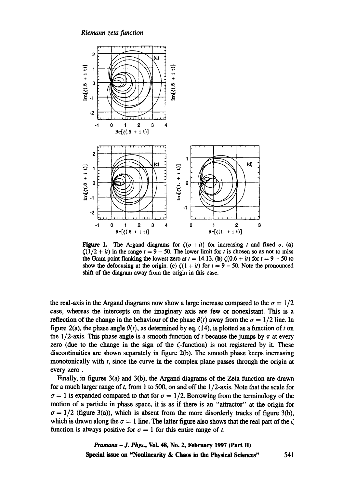#### *Riemann zeta function*



Figure 1. The Argand diagrams for  $\zeta(\sigma + it)$  for increasing t and fixed  $\sigma$ . (a)  $\zeta(1/2 + it)$  in the range  $t = 9 - 50$ . The lower limit for t is chosen so as not to miss the Gram point flanking the lowest zero at  $t = 14.13$ . (b)  $\zeta(0.6 + it)$  for  $t = 9 - 50$  to show the defocusing at the origin. (c)  $\zeta(1 + it)$  for  $t = 9 - 50$ . Note the pronounced shift of the diagram away from the origin in this case.

the real-axis in the Argand diagrams now show a large increase compared to the  $\sigma = 1/2$ case, whereas the intercepts on the imaginary axis are few or nonexistant. This is a reflection of the change in the behaviour of the phase  $\theta(t)$  away from the  $\sigma = 1/2$  line. In figure 2(a), the phase angle  $\theta(t)$ , as determined by eq. (14), is plotted as a function of t on the 1/2-axis. This phase angle is a smooth function of t because the jumps by  $\pi$  at every zero (due to the change in the sign of the (-function) is not registered by it. These discontinuities are shown separately in figure 2(b). The smooth phase keeps increasing monotonically with t, since the curve in the complex plane passes through the origin at every zero.

Finally, in figures 3(a) and 3(b), the Argand diagrams of the Zeta function are drawn for a much larger range of t, from 1 to 500, on and off the  $1/2$ -axis. Note that the scale for  $\sigma = 1$  is expanded compared to that for  $\sigma = 1/2$ . Borrowing from the terminology of the motion of a particle in phase space, it is as if there is an "attractor" at the origin for  $\sigma = 1/2$  (figure 3(a)), which is absent from the more disorderly tracks of figure 3(b), which is drawn along the  $\sigma = 1$  line. The latter figure also shows that the real part of the  $\zeta$ function is always positive for  $\sigma = 1$  for this entire range of t.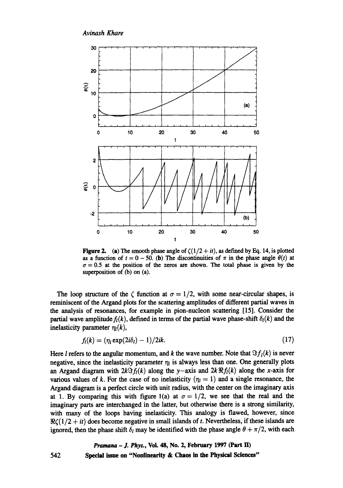

Figure 2. (a) The smooth phase angle of  $\zeta(1/2 + it)$ , as defined by Eq. 14, is plotted as a function of  $t = 0 - 50$ . (b) The discontinuities of  $\pi$  in the phase angle  $\theta(t)$  at  $\sigma = 0.5$  at the position of the zeros are shown. The total phase is given by the superposition of (b) on (a).

The loop structure of the  $\zeta$  function at  $\sigma = 1/2$ , with some near-circular shapes, is reminiscent of the Argand plots for the scattering amplitudes of different partial waves in the analysis of resonances, for example in pion-nucleon scattering [15]. Consider the partial wave amplitude  $f_l(k)$ , defined in terms of the partial wave phase-shift  $\delta_l(k)$  and the inelasticity parameter  $\eta_l(k)$ ,

$$
f_l(k) = (\eta_l \exp(2i\delta_l) - 1)/2ik. \tag{17}
$$

Here *l* refers to the angular momentum, and *k* the wave number. Note that  $\Im f_i(k)$  is never negative, since the inelasticity parameter  $\eta_l$  is always less than one. One generally plots an Argand diagram with  $2k\Re f_1(k)$  along the y-axis and  $2k\Re f_1(k)$  along the x-axis for various values of k. For the case of no inelasticity  $(\eta_l = 1)$  and a single resonance, the Argand diagram is a perfect circle with unit radius, with the center on the imaginary axis at 1. By comparing this with figure 1(a) at  $\sigma = 1/2$ , we see that the real and the imaginary parts are interchanged in the latter, but otherwise there is a strong similarity, with many of the loops having inelasticity. This analogy is flawed, however, since  $\Re\zeta(1/2 + it)$  does become negative in small islands of t. Nevertheless, if these islands are ignored, then the phase shift  $\delta_l$  may be identified with the phase angle  $\theta + \pi/2$ , with each

## *Pramana – J. Phys., Vol. 48, No. 2, February 1997 (Part II)* 542 Special issue on "Nonlinearity **& Chaos in the Physical Sciences"**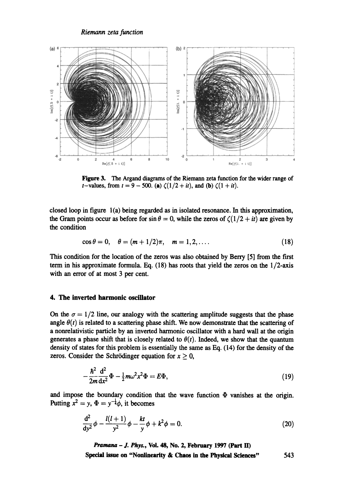

Figure 3. The Argand diagrams of the Riemann zeta function for the wider range of *t*-values, from  $t = 9 - 500$ . (a)  $\zeta(1/2 + it)$ , and (b)  $\zeta(1 + it)$ .

closed loop in figure l(a) being regarded as in isolated resonance. In this approximation, the Gram points occur as before for  $\sin \theta = 0$ , while the zeros of  $\zeta(1/2 + it)$  are given by the condition

$$
\cos \theta = 0, \quad \theta = (m+1/2)\pi, \quad m = 1, 2, .... \tag{18}
$$

This condition for the location of the zeros was also obtained by Berry [5] from the first term in his approximate formula. Eq.  $(18)$  has roots that yield the zeros on the  $1/2$ -axis with an error of at most 3 per cent.

## **4. The inverted harmonic oscillator**

On the  $\sigma = 1/2$  line, our analogy with the scattering amplitude suggests that the phase angle  $\theta(t)$  is related to a scattering phase shift. We now demonstrate that the scattering of a nonrelativistic particle by an inverted harmonic oscillator with a hard wall at the origin generates a phase shift that is closely related to  $\theta(t)$ . Indeed, we show that the quantum density of states for this problem is essentially the same as Eq. (14) for the density of the zeros. Consider the Schrödinger equation for  $x \geq 0$ ,

$$
\frac{\hbar^2}{2m}\frac{\mathrm{d}^2}{\mathrm{d}x^2}\Phi - \frac{1}{2}m\omega^2 x^2 \Phi = E\Phi,\tag{19}
$$

and impose the boundary condition that the wave function  $\Phi$  vanishes at the origin. Putting  $x^2 = y$ ,  $\Phi = y^{-\frac{1}{4}}\phi$ , it becomes

$$
\frac{d^2}{dy^2}\phi - \frac{l(l+1)}{y^2}\phi - \frac{kt}{y}\phi + k^2\phi = 0.
$$
 (20)

*Pramana - J. Phys.,* **Vol. 48, No. 2, February 1997 (Part ID Special issue on "Nonlinearity & Chaos in the Physical Sciences"** 543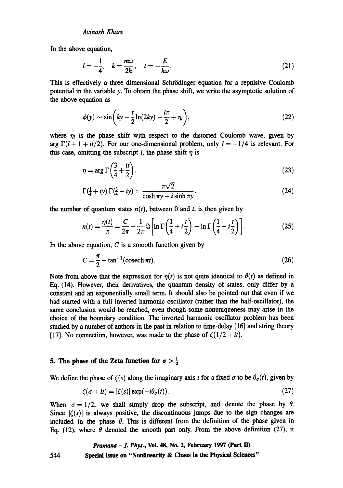In the above equation,

$$
l=-\frac{1}{4}, \quad k=\frac{m\omega}{2\hbar}, \quad t=-\frac{E}{\hbar\omega}.
$$
 (21)

This is effectively a three dimensional Schrödinger equation for a repulsive Coulomb potential in the variable y. To obtain the phase shift, we write the asymptotic solution of the above equation as

$$
\phi(y) \sim \sin\left(ky - \frac{t}{2}\ln(2ky) - \frac{l\pi}{2} + \eta_l\right),\tag{22}
$$

where  $\eta_l$  is the phase shift with respect to the distorted Coulomb wave, given by arg  $\Gamma(l + 1 + it/2)$ . For our one-dimensional problem, only  $l = -1/4$  is relevant. For this case, omitting the subscript l, the phase shift  $\eta$  is

$$
\eta = \arg \Gamma \left( \frac{3}{4} + \frac{i}{2} \right). \tag{23}
$$

$$
\Gamma(\frac{1}{4} + iy) \Gamma(\frac{3}{4} - iy) = \frac{\pi \sqrt{2}}{\cosh \pi y + i \sinh \pi y}.
$$
 (24)

the number of quantum states  $n(t)$ , between 0 and t, is then given by

$$
n(t) = \frac{\eta(t)}{\pi} = \frac{C}{2\pi} + \frac{1}{2\pi} \Im\left[\ln\Gamma\left(\frac{1}{4} + i\frac{t}{2}\right) - \ln\Gamma\left(\frac{1}{4} - i\frac{t}{2}\right)\right].
$$
 (25)

In the above equation,  $C$  is a smooth function given by

$$
C = \frac{\pi}{2} - \tan^{-1}(\operatorname{cosech} \pi t). \tag{26}
$$

Note from above that the expression for  $\eta(t)$  is not quite identical to  $\theta(t)$  as defined in Eq. (14). However, their derivatives, the quantum density of states, only differ by a constant and an exponentially small term. It should also be pointed out that even if we had started with a full inverted harmonic oscillator (rather than the half-oscillator), the same conclusion would be reached, even though some nonuniqueness may arise in the choice of the boundary condition. The inverted harmonic oscillator problem has been studied by a number of authors in the past in relation to time-delay [16] and string theory [17]. No connection, however, was made to the phase of  $\zeta(1/2 + it)$ .

## **5. The phase of the Zeta function for**  $\sigma > \frac{1}{2}$

We define the phase of  $\zeta(s)$  along the imaginary axis t for a fixed  $\sigma$  to be  $\theta_{\sigma}(t)$ , given by

$$
\zeta(\sigma + it) = |\zeta(s)| \exp(-i\theta_{\sigma}(t)). \tag{27}
$$

When  $\sigma = 1/2$ , we shall simply drop the subscript, and denote the phase by  $\theta$ . Since  $|\zeta(s)|$  is always positive, the discontinuous jumps due to the sign changes are included in the phase  $\theta$ . This is different from the definition of the phase given in Eq. (12), where  $\theta$  denoted the smooth part only. From the above definition (27), it

*Pramana - J. Phys.,* **VoL 48, No. 2, February 1997 (Part ID 544 Special issue on "Nonlinearity & Chaos in the Physical Sciences"**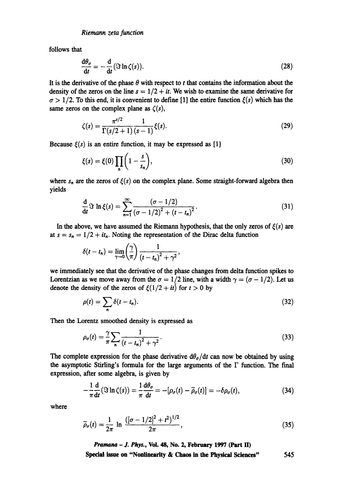follows that

$$
\frac{d\theta_{\sigma}}{dt} = -\frac{d}{dt} (\Im \ln \zeta(s)). \tag{28}
$$

It is the derivative of the phase  $\theta$  with respect to t that contains the information about the density of the zeros on the line  $s = 1/2 + it$ . We wish to examine the same derivative for  $\sigma > 1/2$ . To this end, it is convenient to define [1] the entire function  $\xi(s)$  which has the same zeros on the complex plane as  $\zeta(s)$ ,

$$
\zeta(s) = \frac{\pi^{s/2}}{\Gamma(s/2+1)} \frac{1}{(s-1)} \xi(s). \tag{29}
$$

Because  $\xi(s)$  is an entire function, it may be expressed as [1]

$$
\xi(s) = \xi(0) \prod_{n} \left( 1 - \frac{s}{s_n} \right),\tag{30}
$$

where  $s_n$  are the zeros of  $\xi(s)$  on the complex plane. Some straight-forward algebra then yields

$$
\frac{d}{dt}\Im \ln \xi(s) = \sum_{n=1}^{\infty} \frac{(\sigma - 1/2)}{(\sigma - 1/2)^2 + (t - t_n)^2}.
$$
\n(31)

In the above, we have assumed the Riemann hypothesis, that the only zeros of  $\xi(s)$  are at  $s = s_n = 1/2 + it_n$ . Noting the representation of the Dirac delta function

$$
\delta(t-t_n)=\lim_{\gamma\to 0}\left(\frac{\gamma}{\pi}\right)\frac{1}{(t-t_n)^2+\gamma^2},
$$

we immediately see that the derivative of the phase changes from delta function spikes to Lorentzian as we move away from the  $\sigma = 1/2$  line, with a width  $\gamma = (\sigma - 1/2)$ . Let us denote the density of the zeros of  $\xi(1/2 + it)$  for  $t > 0$  by

$$
\rho(t) = \sum_{n} \delta(t - t_n). \tag{32}
$$

Then the Lorentz smoothed density is expressed as

$$
\rho_{\sigma}(t) = \frac{\gamma}{\pi} \sum_{n} \frac{1}{\left(t - t_{n}\right)^{2} + \gamma^{2}}.
$$
\n(33)

The complete expression for the phase derivative  $d\theta_{\sigma}/dt$  can now be obtained by using the asymptotic Stirling's formula for the large arguments of the  $\Gamma$  function. The final expression, after some algebra, is given by

$$
-\frac{1}{\pi}\frac{d}{dt}(\Im \ln \zeta(s)) = \frac{1}{\pi}\frac{d\theta_{\sigma}}{dt} = -[\rho_{\sigma}(t) - \widetilde{\rho}_{\sigma}(t)] = -\delta \rho_{\sigma}(t), \qquad (34)
$$

where

$$
\widetilde{\rho}_{\sigma}(t) = \frac{1}{2\pi} \ln \frac{([ \sigma - 1/2]^2 + t^2)^{1/2}}{2\pi},
$$
\n(35)

*Pramana - J. Phys.,* **Vol. 48, No. 2, February 1997 (Part ID** 

**Special issue on "Nonlinearity & Chaos in the Physical Sciences"** 545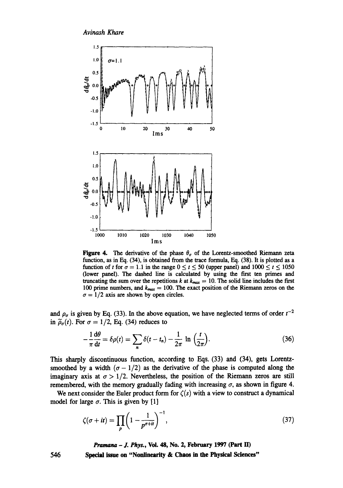

**Figure 4.** The derivative of the phase  $\theta_{\sigma}$  of the Lorentz-smoothed Riemann zeta function, as in Eq. (34), is obtained from the trace formula, Eq. (38). It is plotted as a function of t for  $\sigma = 1.1$  in the range  $0 \le t \le 50$  (upper panel) and  $1000 \le t \le 1050$ (lower panel). The dashed line is calculated by using the first ten primes and truncating the sum over the repetitions k at  $k_{max} = 10$ . The solid line includes the first 100 prime numbers, and  $k_{max} = 100$ . The exact position of the Riemann zeros on the  $\sigma = 1/2$  axis are shown by open circles.

and  $\rho_{\sigma}$  is given by Eq. (33). In the above equation, we have neglected terms of order  $t^{-2}$ in  $\widetilde{\rho}_{\sigma}(t)$ . For  $\sigma = 1/2$ , Eq. (34) reduces to

$$
-\frac{1}{\pi}\frac{d\theta}{dt} = \delta\rho(t) = \sum_{n} \delta(t - t_n) - \frac{1}{2\pi} \ln\left(\frac{t}{2\pi}\right).
$$
 (36)

This sharply discontinuous function, according to Eqs. (33) and (34), gets Lorentzsmoothed by a width  $(\sigma - 1/2)$  as the derivative of the phase is computed along the imaginary axis at  $\sigma > 1/2$ . Nevertheless, the position of the Riemann zeros are still remembered, with the memory gradually fading with increasing  $\sigma$ , as shown in figure 4.

We next consider the Euler product form for  $\zeta(s)$  with a view to construct a dynamical model for large  $\sigma$ . This is given by [1]

$$
\zeta(\sigma + it) = \prod_{p} \left( 1 - \frac{1}{p^{\sigma + it}} \right)^{-1},\tag{37}
$$

*Pramana - J. Phys.,* Vol. 48, No. 2, February 1997 (Part ID

Special issue on "Nonlinearity **& Chaos in the Physical Sciences"**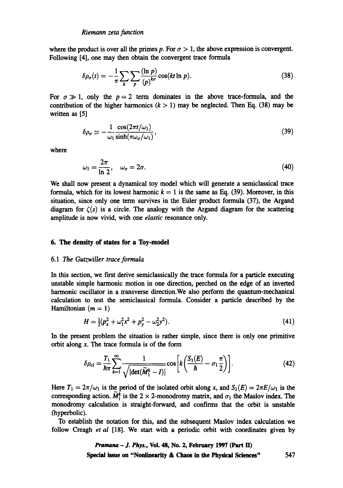where the product is over all the primes p. For  $\sigma > 1$ , the above expression is convergent. Following [4], one may then obtain the convergent trace formula

$$
\delta \rho_{\sigma}(t) = -\frac{1}{\pi} \sum_{k} \sum_{p} \frac{(\ln p)}{(p)^{k\sigma}} \cos(kt \ln p). \tag{38}
$$

For  $\sigma \gg 1$ , only the  $p = 2$  term dominates in the above trace-formula, and the contribution of the higher harmonics  $(k > 1)$  may be neglected. Then Eq. (38) may be written as [5]

$$
\delta \rho_{\sigma} \simeq -\frac{1}{\omega_1} \frac{\cos(2\pi t/\omega_1)}{\sinh(\pi \omega_{\sigma}/\omega_1)},
$$
\n(39)

where

$$
\omega_1 = \frac{2\pi}{\ln 2}, \quad \omega_\sigma = 2\sigma. \tag{40}
$$

We shall now present a dynamical toy model which will generate a semiclassical trace formula, which for its lowest harmonic  $k = 1$  is the same as Eq. (39). Moreover, in this situation, since only one term survives in the Euler product formula (37), the Argand diagram for  $\zeta(s)$  is a circle. The analogy with the Argand diagram for the scattering amplitude is now vivid, with one *elastic* resonance only.

#### **6. The density of states for a Toy.model**

#### *6.1 The Gutzwiller trace formula*

In this section, we first derive semiclassically the trace formula for a particle executing unstable simple harmonic motion in one direction, perched on the edge of an inverted harmonic oscillator in a transverse direction.We also perform the quantum-mechanical calculation to test the semiclassical formula. Consider a particle described by the Hamiltonian  $(m = 1)$ 

$$
H = \frac{1}{2}(p_x^2 + \omega_1^2 x^2 + p_y^2 - \omega_2^2 y^2). \tag{41}
$$

In the present problem the situation is rather simple, since there is only one primitive orbit along  $x$ . The trace formula is of the form

$$
\delta \rho_{cl} = \frac{T_1}{\hbar \pi} \sum_{k=1}^{\infty} \frac{1}{\sqrt{|\det(\widetilde{M}_1^k - I)|}} \cos \left[ k \left( \frac{S_1(E)}{\hbar} - \sigma_1 \frac{\pi}{2} \right) \right]. \tag{42}
$$

Here  $T_1 = 2\pi/\omega_1$  is the period of the isolated orbit along x, and  $S_1(E) = 2\pi E/\omega_1$  is the corresponding action.  $\tilde{M}_1^k$  is the 2 × 2-monodromy matrix, and  $\sigma_1$  the Maslov index. The monodromy calculation is straight-forward, and confirms that the orbit is unstable (hyperbolic).

To establish the notation for this, and the subsequent Maslov index calculation we follow Creagh *et al* [18]. We start with a periodic orbit with coordinates given by

> *Pmmana - J. Phys.,* **Vol. 48, No. 2, February 1997 (Part ED Special issue on "Nonlinearity & Chaos in the Physical Sciences"** 547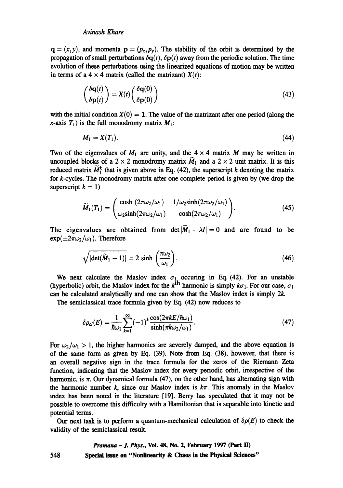$q = (x, y)$ , and momenta  $p = (p_x, p_y)$ . The stability of the orbit is determined by the propagation of small perturbations  $\delta q(t)$ ,  $\delta p(t)$  away from the periodic solution. The time evolution of these perturbations using the linearized equations of motion may be written in terms of a  $4 \times 4$  matrix (called the matrizant)  $X(t)$ :

$$
\begin{pmatrix} \delta \mathbf{q}(t) \\ \delta \mathbf{p}(t) \end{pmatrix} = X(t) \begin{pmatrix} \delta \mathbf{q}(0) \\ \delta \mathbf{p}(0) \end{pmatrix}
$$
(43)

with the initial condition  $X(0) = 1$ . The value of the matrizant after one period (along the x-axis  $T_1$ ) is the full monodromy matrix  $M_1$ :

$$
M_1 = X(T_1). \tag{44}
$$

Two of the eigenvalues of  $M_1$  are unity, and the  $4 \times 4$  matrix M may be written in uncoupled blocks of a 2 × 2 monodromy matrix  $\widetilde{M}_1$  and a 2 × 2 unit matrix. It is this reduced matrix  $\widetilde{M}_1^k$  that is given above in Eq. (42), the superscript k denoting the matrix for k-cycles. The monodromy matrix after one complete period is given by (we drop the superscript  $k = 1$ )

$$
\widetilde{M}_1(T_1) = \begin{pmatrix}\n\cosh(2\pi\omega_2/\omega_1) & 1/\omega_2 \sinh(2\pi\omega_2/\omega_1) \\
\omega_2 \sinh(2\pi\omega_2/\omega_1) & \cosh(2\pi\omega_2/\omega_1)\n\end{pmatrix}.
$$
\n(45)

The eigenvalues are obtained from  $\det |M_1 - \lambda I| = 0$  and are found to be  $\exp(\pm 2\pi\omega_2/\omega_1)$ . Therefore

$$
\sqrt{|\det(\widetilde{M}_1-1)|}=2\,\sinh\,\left(\frac{\pi\omega_2}{\omega_1}\right).
$$
\n(46)

We next calculate the Maslov index  $\sigma_1$  occuring in Eq. (42). For an unstable (hyperbolic) orbit, the Maslov index for the  $k^{\text{th}}$  harmonic is simply  $k\sigma_1$ . For our case,  $\sigma_1$ can be calculated analytically and one can show that the Maslov index is simply 2k.

The semiclassical trace formula given by Eq. (42) now reduces to

$$
\delta \rho_{cl}(E) = \frac{1}{\hbar \omega_1} \sum_{k=1}^{\infty} (-1)^k \frac{\cos(2\pi k E/\hbar \omega_1)}{\sinh(\pi k \omega_2/\omega_1)}.
$$
\n(47)

For  $\omega_2/\omega_1 > 1$ , the higher harmonics are severely damped, and the above equation is of the same form as given by Eq. (39). Note from Eq. (38), however, that there is an overall negative sign in the trace formula for the zeros of the Riemann Zeta function, indicating that the Maslov index for every periodic orbit, irrespective of the harmonic, is  $\pi$ . Our dynamical formula (47), on the other hand, has alternating sign with the harmonic number k, since our Maslov index is  $k\pi$ . This anomaly in the Maslov index has been noted in the literature [19]. Berry has speculated that it may not be possible to overcome this difficulty with a Hamiltonian that is separable into kinetic and potential terms.

Our next task is to perform a quantum-mechanical calculation of  $\delta \rho(E)$  to check the validity of the semiclassical result.

## *Pramana - J. Phys.,* **Vol. 48, No. 2, February 1997 (Part ED**  Special issue on "Nonlinearity & Chaos in the Physical Sciences"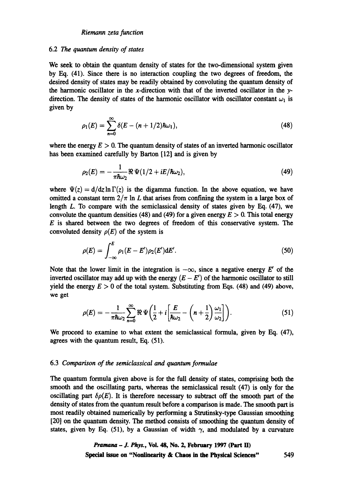#### *Riemann zeta function*

## 6.2 The *quantum density of states*

We seek to obtain the quantum density of states for the two-dimensional system given by Eq. (41). Since there is no interaction coupling the two degrees of freedom, the desired density of states may be readily obtained by convoluting the quantum density of the harmonic oscillator in the x-direction with that of the inverted oscillator in the  $y$ direction. The density of states of the harmonic oscillator with oscillator constant  $\omega_1$  is given by

$$
\rho_1(E) = \sum_{n=0}^{\infty} \delta(E - (n+1/2)\hbar\omega_1),
$$
\n(48)

where the energy  $E > 0$ . The quantum density of states of an inverted harmonic oscillator has been examined carefully by Barton [12] and is given by

$$
\rho_2(E)=-\frac{1}{\pi\hbar\omega_2}\Re\Psi(1/2+iE/\hbar\omega_2),\qquad(49)
$$

where  $\Psi(z) = d/dz \ln \Gamma(z)$  is the digamma function. In the above equation, we have omitted a constant term  $2/\pi$  In L that arises from confining the system in a large box of length L. To compare with the semiclassical density of states given by Eq. (47), we convolute the quantum densities (48) and (49) for a given energy  $E > 0$ . This total energy  $E$  is shared between the two degrees of freedom of this conservative system. The convoluted density  $\rho(E)$  of the system is

$$
\rho(E) = \int_{-\infty}^{E} \rho_1(E - E') \rho_2(E') dE'.
$$
 (50)

Note that the lower limit in the integration is  $-\infty$ , since a negative energy E' of the inverted oscillator may add up with the energy  $(E - E')$  of the harmonic oscillator to still yield the energy  $E > 0$  of the total system. Substituting from Eqs. (48) and (49) above, we get

$$
\rho(E) = -\frac{1}{\pi \hbar \omega_2} \sum_{n=0}^{\infty} \Re \Psi \left( \frac{1}{2} + i \left[ \frac{E}{\hbar \omega_2} - \left( n + \frac{1}{2} \right) \frac{\omega_1}{\omega_2} \right] \right). \tag{51}
$$

We proceed to examine to what extent the semiclassical formula, given by Eq. (47), agrees with the quantum result, Eq. (51).

## 6.3 *Comparison of the semiclassical and quantum formulae*

The quantum formula given above is for the full density of states, comprising both the smooth and the oscillating parts, whereas the semiclassical result (47) is only for the oscillating part  $\delta \rho(E)$ . It is therefore necessary to subtract off the smooth part of the density of states from the quantum result before a comparison is made. The smooth part is most readily obtained numerically by performing a Strutinsky-type Gaussian smoothing [20] on the quantum density. The method consists of smoothing the quantum density of states, given by Eq. (51), by a Gaussian of width  $\gamma$ , and modulated by a curvature

*Pramana - J. Phys.,* Vol. 48, No. 2, February 1997 (Part !I) Special issue **on "Nonlinearity & Chaos in the Physical Sciences"** 549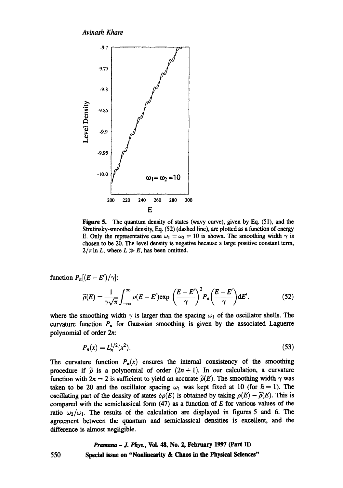

Figure 5. The quantum density of states (wavy curve), given by Eq. (51), and the Strutinsky-smoothed density, Eq. (52) (dashed line), are plotted as a function of energy E. Only the representative case  $\omega_1 = \omega_2 = 10$  is shown. The smoothing width  $\gamma$  is chosen to be 20. The level density is negative because a large positive constant term,  $2/\pi \ln L$ , where  $L \gg E$ , has been omitted.

function  $P_n[(E - E')/\gamma]$ :

$$
\widetilde{\rho}(E) = \frac{1}{\gamma \sqrt{\pi}} \int_{-\infty}^{\infty} \rho(E - E') \exp\left(\frac{E - E'}{\gamma}\right)^2 P_n\left(\frac{E - E'}{\gamma}\right) dE'.
$$
 (52)

where the smoothing width  $\gamma$  is larger than the spacing  $\omega_1$  of the oscillator shells. The curvature function  $P_n$  for Gaussian smoothing is given by the associated Laguerre polynomial of order 2n:

$$
P_n(x) = L_n^{1/2}(x^2). \tag{53}
$$

The curvature function  $P_n(x)$  ensures the internal consistency of the smoothing procedure if  $\tilde{\rho}$  is a polynomial of order  $(2n + 1)$ . In our calculation, a curvature function with  $2n = 2$  is sufficient to yield an accurate  $\tilde{\rho}(E)$ . The smoothing width  $\gamma$  was taken to be 20 and the oscillator spacing  $\omega_1$  was kept fixed at 10 (for  $\hbar = 1$ ). The oscillating part of the density of states  $\delta \rho(E)$  is obtained by taking  $\rho(E) - \tilde{\rho}(E)$ . This is compared with the semiclassical form  $(47)$  as a function of E for various values of the ratio  $\omega_2/\omega_1$ . The results of the calculation are displayed in figures 5 and 6. The agreement between the quantum and semiclassical densities is excellent, and the difference is almost negligible.

*Pramana - J. Phys.,* **Vol. 48, No. 2,** February 1997 **(Part IID**  550 **Special issue on "Nonlinearity & Chaos in the Physical Sciences"**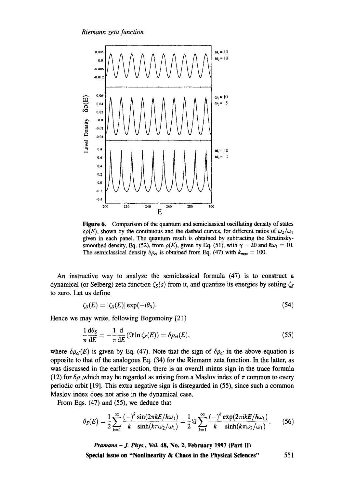

Figure 6. Comparison of the quantum and semiclassicai oscillating density of states  $\delta \rho(E)$ , shown by the continuous and the dashed curves, for different ratios of  $\omega_2/\omega_1$ given in each panel. The quantum result is obtained by subtracting the Strutinskysmoothed density, Eq. (52), from  $\rho(E)$ , given by Eq. (51). with  $\gamma = 20$  and  $\hbar \omega_1 = 10$ . The semiclassical density  $\delta \rho_{cl}$  is obtained from Eq. (47) with  $k_{max} = 100$ .

An instructive way to analyze the semiclassical formula (47) is to construct a dynamical (or Selberg) zeta function  $\zeta_s(s)$  from it, and quantize its energies by setting  $\zeta_s$ to zero. Let us define

$$
\zeta_{S}(E) = |\zeta_{S}(E)| \exp(-i\theta_{S}). \tag{54}
$$

Hence we may write, following Bogomolny [21]

$$
\frac{1}{\pi} \frac{d\theta_S}{dE} = -\frac{1}{\pi} \frac{d}{dE} (\Im \ln \zeta_S(E)) = \delta \rho_{cl}(E), \qquad (55)
$$

where  $\delta \rho_{cl}(E)$  is given by Eq. (47). Note that the sign of  $\delta \rho_{cl}$  in the above equation is opposite to that of the analogous Eq. (34) for the Riemann zeta function. In the latter, as was discussed in the earlier section, there is an overall minus sign in the trace formula (12) for  $\delta \rho$ , which may be regarded as arising from a Maslov index of  $\pi$  common to every periodic orbit [19]. This extra negative sign is disregarded in (55), since such a common Maslov index does not arise in the dynamical case.

From Eqs. (47) and (55), we deduce that

$$
\theta_{S}(E) = \frac{1}{2} \sum_{k=1}^{\infty} \frac{(-)^{k} \sin(2\pi k E/\hbar \omega_{1})}{k} = \frac{1}{2} \Im \sum_{k=1}^{\infty} \frac{(-)^{k} \exp(2\pi i k E/\hbar \omega_{1})}{k}.
$$
 (56)

*Pramana - J. Phys.,* **Voi. 48, No. 2, February 1997 (Part I])** 

**Special issue on "Nonlinearity & Chaos in the Physical Sciences"** 551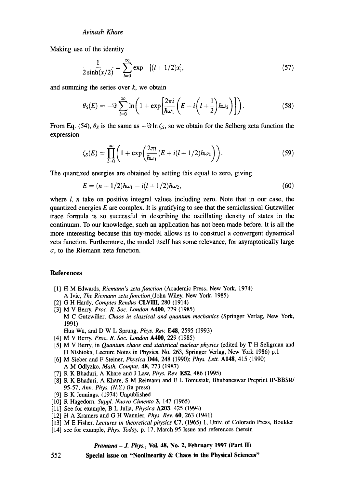Making use of the identity

$$
\frac{1}{2\sinh(x/2)} = \sum_{l=0}^{\infty} \exp\left[-[(l+1/2)x\right],\tag{57}
$$

and summing the series over  $k$ , we obtain

$$
\theta_{S}(E) = -\Im \sum_{l=0}^{\infty} \ln \left( 1 + \exp \left[ \frac{2\pi i}{\hbar \omega_1} \left( E + i \left( l + \frac{1}{2} \right) \hbar \omega_2 \right) \right] \right).
$$
 (58)

From Eq. (54),  $\theta_s$  is the same as  $-\Im \ln \zeta_s$ , so we obtain for the Selberg zeta function the expression

$$
\zeta_{S}(E) = \prod_{l=0}^{\infty} \left( 1 + \exp\left(\frac{2\pi i}{\hbar \omega_1} (E + i(l+1/2)\hbar \omega_2\right) \right). \tag{59}
$$

The quantized energies are obtained by setting this equal to zero, giving

$$
E = (n + 1/2)\hbar\omega_1 - i(l + 1/2)\hbar\omega_2, \tag{60}
$$

where  $l$ , n take on positive integral values including zero. Note that in our case, the quantized energies  $E$  are complex. It is gratifying to see that the semiclassical Gutzwiller trace formula is so successful in describing the oscillating density of states in the continuum. To our knowledge, such an application has not been made before. It is all the more interesting because this toy-model allows us to construct a convergent dynamical zeta function. Furthermore, the model itself has some relevance, for asymptotically large  $\sigma$ , to the Riemann zeta function.

## **References**

552

- [1] H M Edwards, *Riemann's zeta function* (Academic Press, New York, 1974) A Ivic, *The Riemann zeta function(John* Wiley, New York, 1985)
- [2] G H Hardy, *Comptes Rendus* **CLVIII**, 280 (1914)
- [3] M V Berry, *Proc. R. Soc. London* A400, 229 (1985) M C Gutzwiller, *Chaos in classical and quantum mechanics* (Springer Verlag, New York, 1991) Hua Wu, and D W L Sprung, *Phys. Rev.* **E48**, 2595 (1993)
- [4] M V Berry, *Proc. R. Soc. London* A400, 229 (1985)
- [5] M V Berry, in *Quantum chaos and statistical nuclear physics* (edited by T H Seligman and H Nishioka, Lecture Notes in Physics, No. 263, Springer Verlag, New York 1986) p.1
- [6] M Sieber and F Steiner, *Physica* D44, 248 (1990); *Phys. Lett.* A148, 415 (1990) A M Odlyzko, *Math. Comput.* 48, 273 (1987)
- [7] R K Bhaduri, A Khare and J Law, *Phys. Rev.* E52, 486 (1995)
- [8] R K Bhaduri, A Khare, S M Reimann and E L Tomusiak, Bhubaneswar Preprint IP-BBSR/ 95-57; *Ann. Phys. (N.Y)* (in press)
- [9] B K Jennings, (1974) Unpublished
- [10] R Hagedorn, *Suppl. Nuovo Cimento* 3, 147 (1965)
- [11] See for example, B L Julia, *Physica* A203, 425 (1994)
- [12] H A Kramers and G H Wannier, *Phys. Rev. 60,* 263 (1941)
- [13] M E Fisher, *Lectures in theoretical physics* C7, (1965) 1, Univ. of Colorado Press, Boulder
- [14] see for example, *Phys. Today,* p. 17, March 95 Issue and references therein

## *Pramana - J. Phys.,* **Vol. 48, No. 2, February 1997 (Part lI)**

**Special issue on "Nonlinearity & Chaos in the Physical Sciences"**